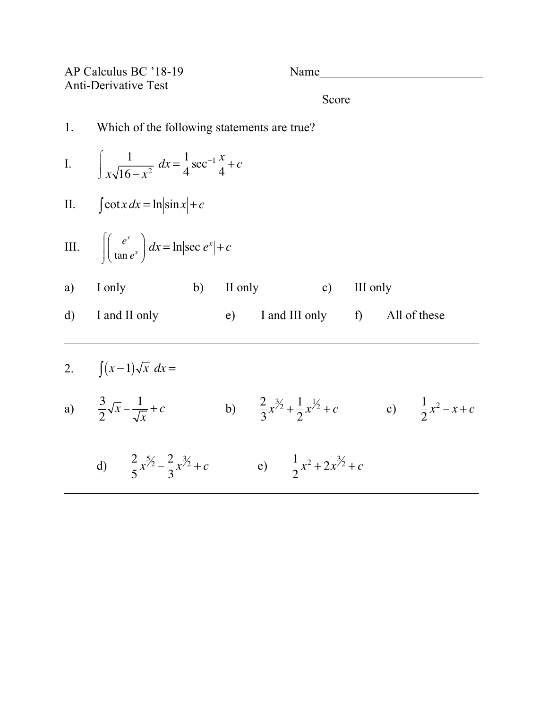| AP Calculus BC '18-19<br><b>Anti-Derivative Test</b> |                                                                                   |            | Name                                             |             |              |                             |  |  |  |  |  |
|------------------------------------------------------|-----------------------------------------------------------------------------------|------------|--------------------------------------------------|-------------|--------------|-----------------------------|--|--|--|--|--|
|                                                      |                                                                                   |            |                                                  |             |              |                             |  |  |  |  |  |
| 1.                                                   | Which of the following statements are true?                                       |            |                                                  |             |              |                             |  |  |  |  |  |
|                                                      | I. $\int \frac{1}{r\sqrt{16-r^2}} dx = \frac{1}{4} \sec^{-1} \frac{x}{4} + c$     |            |                                                  |             |              |                             |  |  |  |  |  |
|                                                      | II. $\int \cot x dx = \ln \sin x  + c$                                            |            |                                                  |             |              |                             |  |  |  |  |  |
|                                                      | III. $\left  \left( \frac{e^x}{\tan e^x} \right) dx = \ln  \sec e^x  + c \right $ |            |                                                  |             |              |                             |  |  |  |  |  |
| a)                                                   | I only                                                                            | b) II only |                                                  | c) III only |              |                             |  |  |  |  |  |
| $\mathbf{d}$                                         | I and II only                                                                     |            | $e)$ I and III only f)                           |             | All of these |                             |  |  |  |  |  |
|                                                      | 2. $\int (x-1)\sqrt{x} dx =$                                                      |            |                                                  |             |              |                             |  |  |  |  |  |
|                                                      | a) $\frac{3}{2}\sqrt{x} - \frac{1}{\sqrt{x}} + c$                                 |            | b) $\frac{2}{3}x^{3/2} + \frac{1}{2}x^{1/2} + c$ |             |              | c) $\frac{1}{2}x^2 - x + c$ |  |  |  |  |  |
|                                                      | d) $\frac{2}{5}x^{5/2} - \frac{2}{3}x^{3/2} + c$                                  |            | e) $\frac{1}{2}x^2 + 2x^{3/2} + c$               |             |              |                             |  |  |  |  |  |
|                                                      |                                                                                   |            |                                                  |             |              |                             |  |  |  |  |  |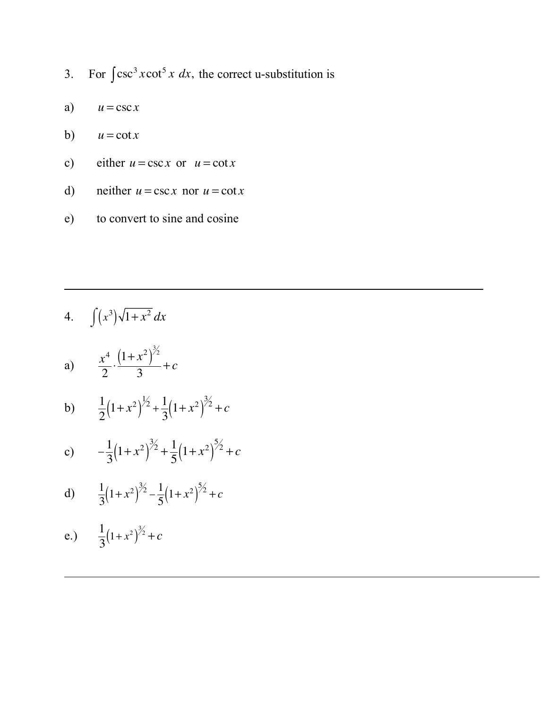- 3. For  $\int \csc^3 x \cot^5 x \, dx$ , the correct u-substitution is
- a)  $u = \csc x$
- b)  $u = \cot x$
- c) either  $u = \csc x$  or  $u = \cot x$
- d) neither  $u = \csc x$  nor  $u = \cot x$
- e) to convert to sine and cosine

$$
4. \qquad \int (x^3)\sqrt{1+x^2}\,dx
$$

a) 
$$
\frac{x^4}{2} \cdot \frac{(1+x^2)^{3/2}}{3} + c
$$

b) 
$$
\frac{1}{2}(1+x^2)^{\frac{1}{2}} + \frac{1}{3}(1+x^2)^{\frac{3}{2}} + c
$$

c) 
$$
-\frac{1}{3}(1+x^2)^{3/2} + \frac{1}{5}(1+x^2)^{5/2} + c
$$

d) 
$$
\frac{1}{3}(1+x^2)^{3/2} - \frac{1}{5}(1+x^2)^{5/2} + c
$$

e.) 
$$
\frac{1}{3}(1+x^2)^{3/2} + c
$$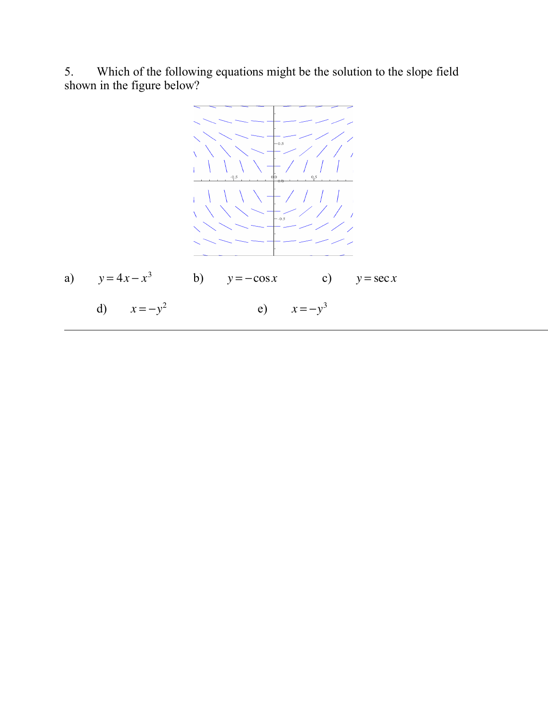5. Which of the following equations might be the solution to the slope field shown in the figure below?

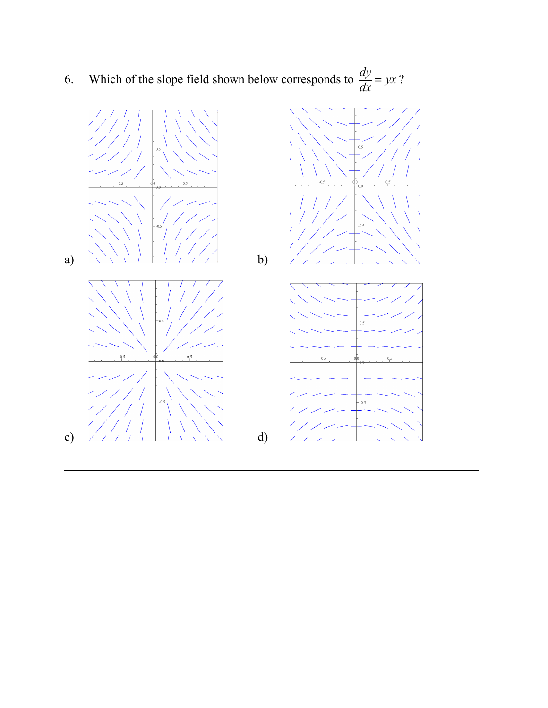6. Which of the slope field shown below corresponds to  $\frac{dy}{dx} = yx$ ?

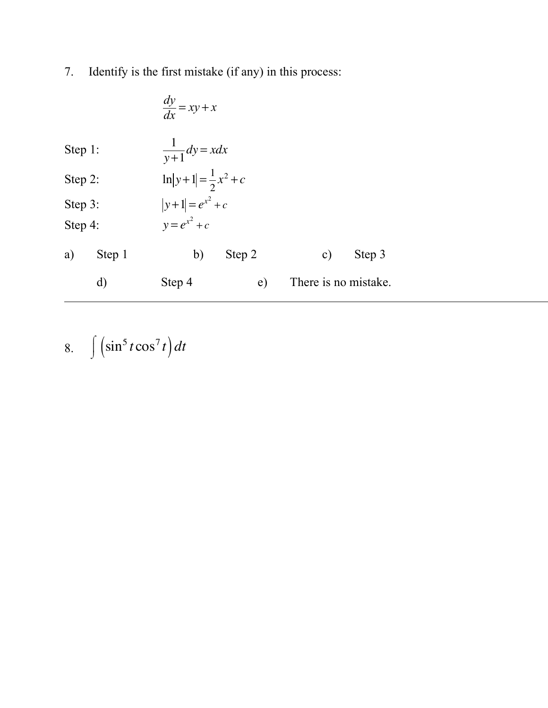7. Identify is the first mistake (if any) in this process:

|         |        | $\frac{dy}{dx} = xy + x$ |                                 |                      |        |  |  |  |  |
|---------|--------|--------------------------|---------------------------------|----------------------|--------|--|--|--|--|
| Step 1: |        |                          | $\frac{1}{y+1}dy = xdx$         |                      |        |  |  |  |  |
| Step 2: |        |                          | $\ln y+1  = \frac{1}{2}x^2 + c$ |                      |        |  |  |  |  |
| Step 3: |        |                          | $ y+1  = e^{x^2} + c$           |                      |        |  |  |  |  |
| Step 4: |        | $y=e^{x^2}+c$            |                                 |                      |        |  |  |  |  |
| a)      | Step 1 | b)                       | Step 2                          | $\mathbf{c})$        | Step 3 |  |  |  |  |
|         | d)     | Step 4                   | e)                              | There is no mistake. |        |  |  |  |  |

8.  $\int (\sin^5 t \cos^7 t) dt$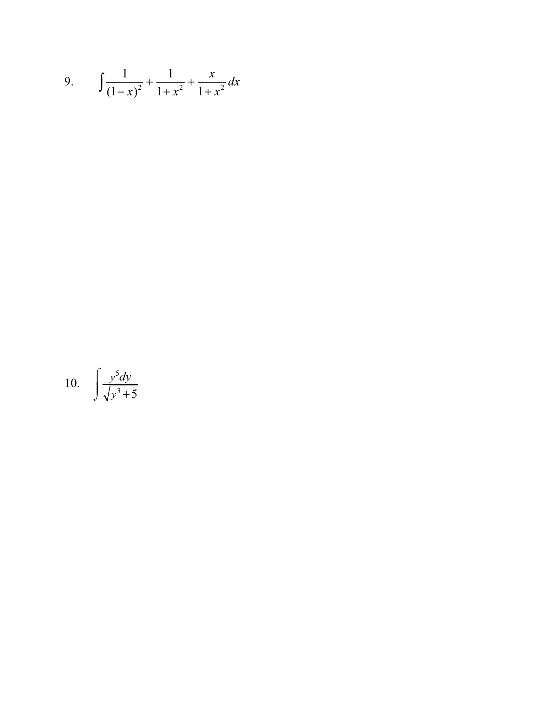9. 
$$
\int \frac{1}{(1-x)^2} + \frac{1}{1+x^2} + \frac{x}{1+x^2} dx
$$

$$
10. \quad \int \frac{y^5 dy}{\sqrt{y^3 + 5}}
$$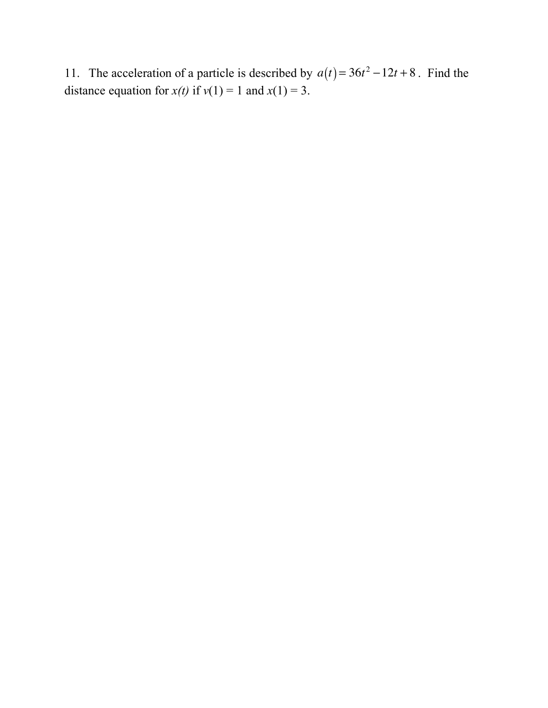11. The acceleration of a particle is described by  $a(t) = 36t^2 - 12t + 8$ . Find the distance equation for  $x(t)$  if  $v(1) = 1$  and  $x(1) = 3$ .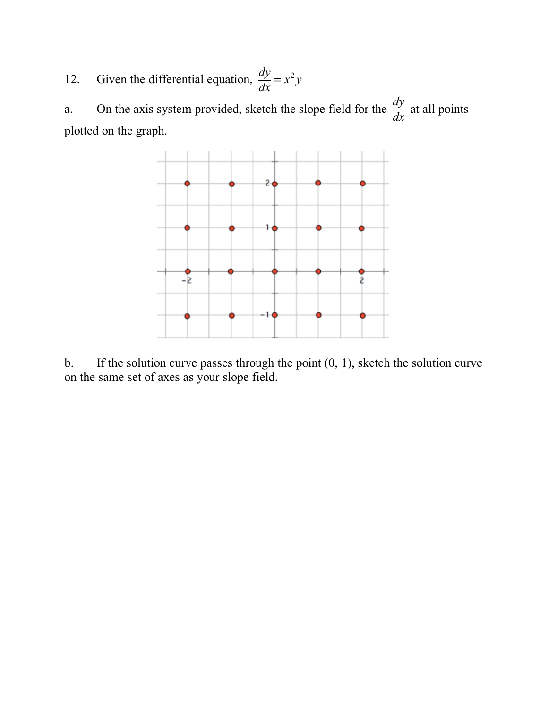12. Given the differential equation,  $\frac{dy}{dx} = x^2 y$ 

a. On the axis system provided, sketch the slope field for the  $\frac{dy}{dx}$  at all points plotted on the graph. *dy dx*



b. If the solution curve passes through the point  $(0, 1)$ , sketch the solution curve on the same set of axes as your slope field.